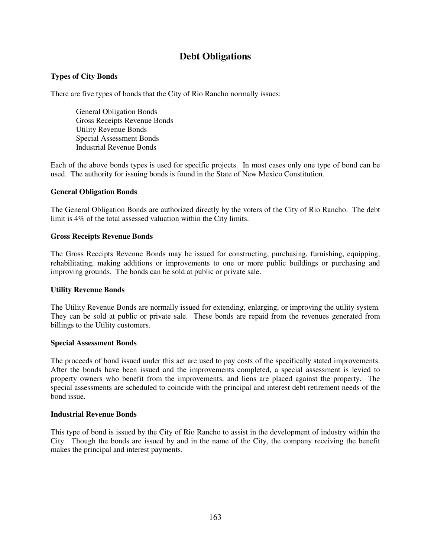# **Debt Obligations**

## **Types of City Bonds**

There are five types of bonds that the City of Rio Rancho normally issues:

General Obligation Bonds Gross Receipts Revenue Bonds Utility Revenue Bonds Special Assessment Bonds Industrial Revenue Bonds

Each of the above bonds types is used for specific projects. In most cases only one type of bond can be used. The authority for issuing bonds is found in the State of New Mexico Constitution.

### **General Obligation Bonds**

The General Obligation Bonds are authorized directly by the voters of the City of Rio Rancho. The debt limit is 4% of the total assessed valuation within the City limits.

### **Gross Receipts Revenue Bonds**

The Gross Receipts Revenue Bonds may be issued for constructing, purchasing, furnishing, equipping, rehabilitating, making additions or improvements to one or more public buildings or purchasing and improving grounds. The bonds can be sold at public or private sale.

#### **Utility Revenue Bonds**

The Utility Revenue Bonds are normally issued for extending, enlarging, or improving the utility system. They can be sold at public or private sale. These bonds are repaid from the revenues generated from billings to the Utility customers.

#### **Special Assessment Bonds**

The proceeds of bond issued under this act are used to pay costs of the specifically stated improvements. After the bonds have been issued and the improvements completed, a special assessment is levied to property owners who benefit from the improvements, and liens are placed against the property. The special assessments are scheduled to coincide with the principal and interest debt retirement needs of the bond issue.

#### **Industrial Revenue Bonds**

This type of bond is issued by the City of Rio Rancho to assist in the development of industry within the City. Though the bonds are issued by and in the name of the City, the company receiving the benefit makes the principal and interest payments.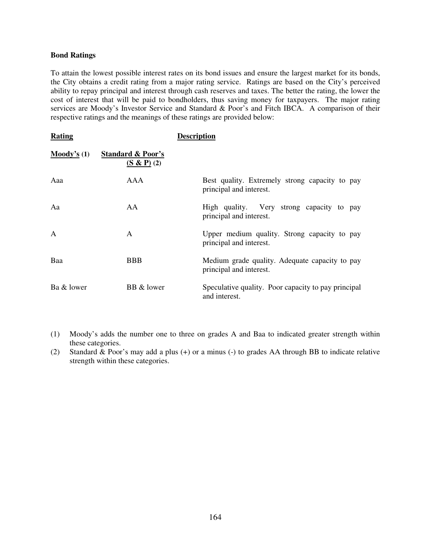#### **Bond Ratings**

To attain the lowest possible interest rates on its bond issues and ensure the largest market for its bonds, the City obtains a credit rating from a major rating service. Ratings are based on the City's perceived ability to repay principal and interest through cash reserves and taxes. The better the rating, the lower the cost of interest that will be paid to bondholders, thus saving money for taxpayers. The major rating services are Moody's Investor Service and Standard & Poor's and Fitch IBCA. A comparison of their respective ratings and the meanings of these ratings are provided below:

| Rating                 |                                           | <b>Description</b>                                                        |
|------------------------|-------------------------------------------|---------------------------------------------------------------------------|
| $\mathbf{Mody's}\$ (1) | <b>Standard &amp; Poor's</b><br>(S & P(2) |                                                                           |
| Aaa                    | AAA                                       | Best quality. Extremely strong capacity to pay<br>principal and interest. |
| Aa                     | AA                                        | High quality. Very strong capacity to pay<br>principal and interest.      |
| $\mathsf{A}$           | A                                         | Upper medium quality. Strong capacity to pay<br>principal and interest.   |
| Baa                    | <b>BBB</b>                                | Medium grade quality. Adequate capacity to pay<br>principal and interest. |
| Ba & lower             | BB & lower                                | Speculative quality. Poor capacity to pay principal<br>and interest.      |

- (1) Moody's adds the number one to three on grades A and Baa to indicated greater strength within these categories.
- (2) Standard & Poor's may add a plus (+) or a minus (-) to grades AA through BB to indicate relative strength within these categories.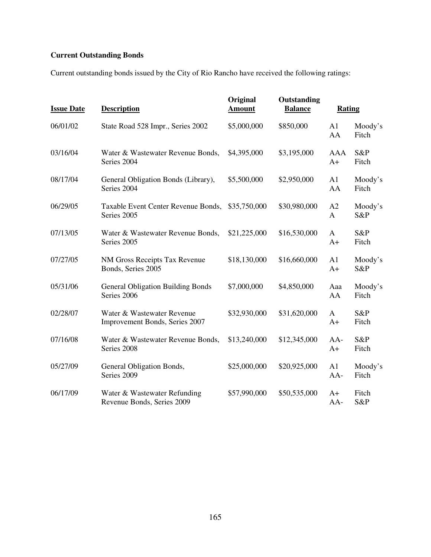# **Current Outstanding Bonds**

Current outstanding bonds issued by the City of Rio Rancho have received the following ratings:

| <b>Issue Date</b> | <b>Description</b>                                           | Original<br><b>Amount</b> | Outstanding<br><b>Balance</b> | <b>Rating</b>        |                  |
|-------------------|--------------------------------------------------------------|---------------------------|-------------------------------|----------------------|------------------|
| 06/01/02          | State Road 528 Impr., Series 2002                            | \$5,000,000               | \$850,000                     | A <sub>1</sub><br>AA | Moody's<br>Fitch |
| 03/16/04          | Water & Wastewater Revenue Bonds,<br>Series 2004             | \$4,395,000               | \$3,195,000                   | AAA<br>$A+$          | S&P<br>Fitch     |
| 08/17/04          | General Obligation Bonds (Library),<br>Series 2004           | \$5,500,000               | \$2,950,000                   | A1<br>AA             | Moody's<br>Fitch |
| 06/29/05          | Taxable Event Center Revenue Bonds,<br>Series 2005           | \$35,750,000              | \$30,980,000                  | A2<br>A              | Moody's<br>S&P   |
| 07/13/05          | Water & Wastewater Revenue Bonds,<br>Series 2005             | \$21,225,000              | \$16,530,000                  | $\mathbf{A}$<br>$A+$ | S&P<br>Fitch     |
| 07/27/05          | NM Gross Receipts Tax Revenue<br>Bonds, Series 2005          | \$18,130,000              | \$16,660,000                  | A1<br>$A+$           | Moody's<br>S&P   |
| 05/31/06          | <b>General Obligation Building Bonds</b><br>Series 2006      | \$7,000,000               | \$4,850,000                   | Aaa<br>AA            | Moody's<br>Fitch |
| 02/28/07          | Water & Wastewater Revenue<br>Improvement Bonds, Series 2007 | \$32,930,000              | \$31,620,000                  | A<br>$A+$            | S&P<br>Fitch     |
| 07/16/08          | Water & Wastewater Revenue Bonds,<br>Series 2008             | \$13,240,000              | \$12,345,000                  | $AA-$<br>$A+$        | S&P<br>Fitch     |
| 05/27/09          | General Obligation Bonds,<br>Series 2009                     | \$25,000,000              | \$20,925,000                  | A1<br>AA-            | Moody's<br>Fitch |
| 06/17/09          | Water & Wastewater Refunding<br>Revenue Bonds, Series 2009   | \$57,990,000              | \$50,535,000                  | $A+$<br>AA-          | Fitch<br>S&P     |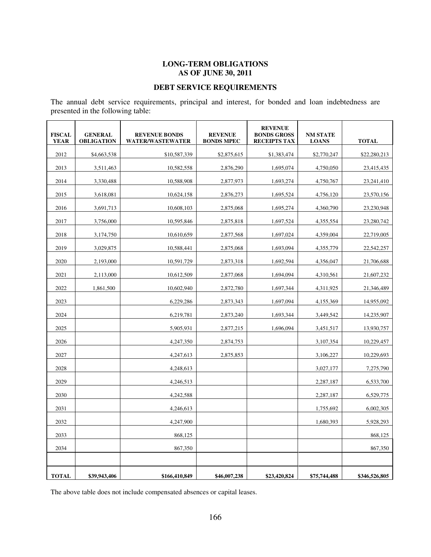## **LONG-TERM OBLIGATIONS AS OF JUNE 30, 2011**

## **DEBT SERVICE REQUIREMENTS**

The annual debt service requirements, principal and interest, for bonded and loan indebtedness are presented in the following table:

| <b>FISCAL</b><br><b>YEAR</b> | <b>GENERAL</b><br><b>OBLIGATION</b> | <b>REVENUE BONDS</b><br><b>WATER/WASTEWATER</b> | <b>REVENUE</b><br><b>BONDS MPEC</b> | <b>REVENUE</b><br><b>BONDS GROSS</b><br><b>RECEIPTS TAX</b> | <b>NM STATE</b><br><b>LOANS</b> | <b>TOTAL</b>  |
|------------------------------|-------------------------------------|-------------------------------------------------|-------------------------------------|-------------------------------------------------------------|---------------------------------|---------------|
| 2012                         | \$4,663,538                         | \$10,587,339                                    | \$2,875,615                         | \$1,383,474                                                 | \$2,770,247                     | \$22,280,213  |
| 2013                         | 3,511,463                           | 10,582,558                                      | 2,876,290                           | 1,695,074                                                   | 4,750,050                       | 23,415,435    |
| 2014                         | 3,330,488                           | 10,588,908                                      | 2,877,973                           | 1,693,274                                                   | 4,750,767                       | 23,241,410    |
| 2015                         | 3,618,081                           | 10,624,158                                      | 2,876,273                           | 1,695,524                                                   | 4,756,120                       | 23,570,156    |
| 2016                         | 3,691,713                           | 10,608,103                                      | 2,875,068                           | 1,695,274                                                   | 4,360,790                       | 23,230,948    |
| 2017                         | 3,756,000                           | 10,595,846                                      | 2,875,818                           | 1,697,524                                                   | 4,355,554                       | 23,280,742    |
| 2018                         | 3,174,750                           | 10,610,659                                      | 2,877,568                           | 1,697,024                                                   | 4,359,004                       | 22,719,005    |
| 2019                         | 3,029,875                           | 10,588,441                                      | 2,875,068                           | 1,693,094                                                   | 4,355,779                       | 22,542,257    |
| 2020                         | 2,193,000                           | 10,591,729                                      | 2,873,318                           | 1,692,594                                                   | 4,356,047                       | 21,706,688    |
| 2021                         | 2,113,000                           | 10,612,509                                      | 2,877,068                           | 1,694,094                                                   | 4,310,561                       | 21,607,232    |
| 2022                         | 1,861,500                           | 10,602,940                                      | 2,872,780                           | 1,697,344                                                   | 4,311,925                       | 21,346,489    |
| 2023                         |                                     | 6,229,286                                       | 2,873,343                           | 1,697,094                                                   | 4,155,369                       | 14,955,092    |
| 2024                         |                                     | 6,219,781                                       | 2,873,240                           | 1,693,344                                                   | 3,449,542                       | 14,235,907    |
| 2025                         |                                     | 5,905,931                                       | 2,877,215                           | 1,696,094                                                   | 3,451,517                       | 13,930,757    |
| 2026                         |                                     | 4,247,350                                       | 2,874,753                           |                                                             | 3,107,354                       | 10,229,457    |
| 2027                         |                                     | 4,247,613                                       | 2,875,853                           |                                                             | 3,106,227                       | 10,229,693    |
| 2028                         |                                     | 4,248,613                                       |                                     |                                                             | 3,027,177                       | 7,275,790     |
| 2029                         |                                     | 4,246,513                                       |                                     |                                                             | 2,287,187                       | 6,533,700     |
| 2030                         |                                     | 4,242,588                                       |                                     |                                                             | 2,287,187                       | 6,529,775     |
| 2031                         |                                     | 4,246,613                                       |                                     |                                                             | 1,755,692                       | 6,002,305     |
| 2032                         |                                     | 4,247,900                                       |                                     |                                                             | 1,680,393                       | 5,928,293     |
| 2033                         |                                     | 868,125                                         |                                     |                                                             |                                 | 868,125       |
| 2034                         |                                     | 867,350                                         |                                     |                                                             |                                 | 867,350       |
|                              |                                     |                                                 |                                     |                                                             |                                 |               |
| <b>TOTAL</b>                 | \$39,943,406                        | \$166,410,849                                   | \$46,007,238                        | \$23,420,824                                                | \$75,744,488                    | \$346,526,805 |

The above table does not include compensated absences or capital leases.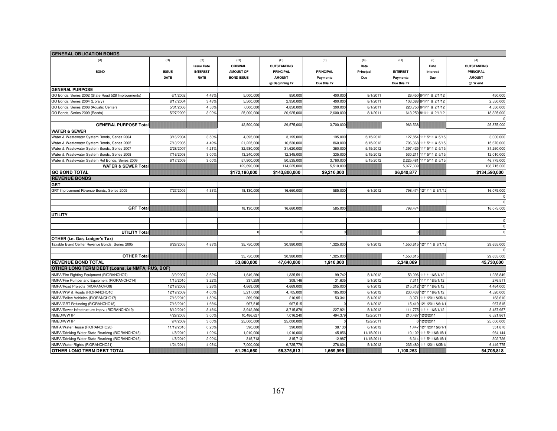| <b>GENERAL OBLIGATION BONDS</b>                     |              |                   |                   |                    |                  |           |                 |                            |                    |
|-----------------------------------------------------|--------------|-------------------|-------------------|--------------------|------------------|-----------|-----------------|----------------------------|--------------------|
| (A)                                                 | (B)          | (C)               | (D)               | (E)                | (F)              | (G)       | (H)             | (1)                        | (J)                |
|                                                     |              | <b>Issue Date</b> | <b>ORIGINAL</b>   | <b>OUTSTANDING</b> |                  | Date      |                 | Date                       | <b>OUTSTANDING</b> |
| <b>BOND</b>                                         | <b>ISSUE</b> | <b>INTEREST</b>   | <b>AMOUNT OF</b>  | <b>PRINCIPAL</b>   | <b>PRINCIPAL</b> | Principal | <b>INTEREST</b> | Interest                   | <b>PRINCIPAL</b>   |
|                                                     | <b>DATE</b>  | <b>RATE</b>       | <b>BOND ISSUE</b> | <b>AMOUNT</b>      | Payments         | Due       | Payments        | Due                        | <b>AMOUNT</b>      |
|                                                     |              |                   |                   | @ Beginning FY     | Due this FY      |           | Due this FY     |                            | @ Yr end           |
| <b>GENERAL PURPOSE</b>                              |              |                   |                   |                    |                  |           |                 |                            |                    |
| GO Bonds, Series 2002 (State Road 528 Improvements) | 6/1/2002     | 4.43%             | 5,000,000         | 850,000            | 400,000          | 8/1/201   |                 | 26,450 8/1/11 & 2/1/12     | 450,000            |
| GO Bonds, Series 2004 (Library)                     | 8/17/200     | 3.43%             | 5,500,000         | 2,950,000          | 400,000          | 8/1/201   |                 | 103,088 8/1/11 & 2/1/12    | 2,550,000          |
| GO Bonds, Series 2006 (Aquatic Center)              | 5/31/2006    | 4.55%             | 7,000,000         | 4,850,000          | 300,000          | 8/1/201   |                 | 220,750 8/1/11 & 2/1/12    | 4,550,000          |
| GO Bonds, Series 2009 (Roads)                       | 5/27/200     | 3.00%             | 25,000,000        | 20,925,000         | 2,600,000        | 8/1/201   |                 | 613,250 8/1/11 & 2/1/12    | 18,325,000         |
|                                                     |              |                   |                   |                    |                  |           |                 |                            |                    |
| <b>GENERAL PURPOSE Total</b>                        |              |                   | 42,500,000        | 29,575,000         | 3,700,000        |           | 963,538         |                            | 25,875,000         |
| <b>WATER &amp; SEWER</b>                            |              |                   |                   |                    |                  |           |                 |                            |                    |
| Water & Wastewater System Bonds, Series 2004        | 3/16/2004    | 3.50%             | 4,395,000         | 3,195,000          | 195,000          | 5/15/2012 |                 | 127,854 11/15/11 & 5/15    | 3.000.000          |
| Water & Wastewater System Bonds, Series 2005        | 7/13/200     | 4.49%             | 21,225,00         | 16,530,000         | 860,000          | 5/15/201  |                 | 796,368 11/15/11 & 5/15    | 15,670,000         |
| Water & Wastewater System Bonds, Series 2007        | 2/28/200     | 4.21%             | 32,930,000        | 31,620,000         | 360,000          | 5/15/201  |                 | 1,397,425 11/15/11 & 5/15  | 31,260,000         |
| Water & Wastewater System Bonds, Series 2008        | 7/16/200     | 3.00%             | 13,240,000        | 12,345,000         | 335,000          | 5/15/201  |                 | 530, 211 11/15/11 & 5/15   | 12,010,000         |
| Water & Wastewater System Ref Bonds, Series 2009    | 6/17/200     | 3.00%             | 57,900,000        | 50,535,000         | 3,760,000        | 5/15/2012 |                 | 2,225,481 11/15/11 & 5/15  | 46,775,000         |
| <b>WATER &amp; SEWER Total</b>                      |              |                   | 129,690,000       | 114,225,000        | 5,510,000        |           | 5,077,339       |                            | 108,715,000        |
| GO BOND TOTAL                                       |              |                   | \$172,190,000     | \$143,800,000      | \$9,210,000      |           | \$6,040,877     |                            | \$134,590,000      |
| <b>REVENUE BONDS</b>                                |              |                   |                   |                    |                  |           |                 |                            |                    |
| <b>GRT</b>                                          |              |                   |                   |                    |                  |           |                 |                            |                    |
| GRT Improvement Revenue Bonds, Series 2005          | 7/27/2005    | 4.33%             | 18,130,000        | 16,660,000         | 585,000          | 6/1/201   |                 | 798,474 12/1/11 & 6/1/1    | 16,075,000         |
|                                                     |              |                   |                   |                    |                  |           |                 |                            |                    |
|                                                     |              |                   |                   |                    |                  |           |                 |                            |                    |
| <b>GRT Total</b>                                    |              |                   | 18,130,000        | 16,660,000         | 585,000          |           | 798,474         |                            | 16,075,000         |
| UTILITY                                             |              |                   |                   |                    |                  |           |                 |                            |                    |
|                                                     |              |                   |                   |                    |                  |           |                 |                            | $\Omega$           |
|                                                     |              |                   |                   |                    |                  |           |                 |                            | nl                 |
| <b>UTILITY Total</b>                                |              |                   |                   | $\mathbf 0$        |                  |           |                 |                            | n                  |
| OTHER (i.e. Gas, Lodger's Tax)                      |              |                   |                   |                    |                  |           |                 |                            |                    |
| Taxable Event Center Revenue Bonds, Series 2005     | 6/29/2005    | 4.83%             | 35,750,000        | 30,980,000         | 1,325,000        | 6/1/2012  |                 | 1,550,615 12/1/11 & 6/1/1: | 29,655,000         |
|                                                     |              |                   |                   |                    |                  |           |                 |                            |                    |
| <b>OTHER Total</b>                                  |              |                   | 35,750,00         | 30,980,000         | 1,325,000        |           | 1,550,615       |                            | 29,655,000         |
| <b>REVENUE BOND TOTAL</b>                           |              |                   | 53,880,000        | 47,640,000         | 1,910,000        |           | 2,349,089       |                            | 45,730,000         |
| OTHER LONG TERM DEBT (Loans, i.e NMFA, RUS, BOF)    |              |                   |                   |                    |                  |           |                 |                            |                    |
| NMFA/Fire Fighting Equipment (RIORANCHO7)           | 3/9/2007     | 3.62%             | 1,649,286         | 1,335,591          | 99,742           | 5/1/2012  |                 | 53,096 11/1/11&5/1/12      | 1,235,849          |
| NMFA/Fire Pumper and Equipment (RIORANCHO14)        | 1/15/2010    | 3.22%             | 337,259           | 308,146            | 31,635           | 5/1/2012  |                 | 7,311 11/1/11&5/1/12       | 276,511            |
| NMFA/Road Projects (RIORANCHO9)                     | 12/19/2008   | 5.26%             | 4,669,000         | 4,669,000          | 205,000          | 6/1/2012  |                 | 215,312 12/1/11&6/1/12     | 4,464,000          |
| NMFA/WW & Roads (RIORANCHO10)                       | 12/19/2009   | 4.00%             | 5,217,000         | 4,705,000          | 185,000          | 6/1/201   |                 | 230,438 12/1/11&6/1/12     | 4,520,000          |
| NMFA/Police Vehicles (RIORANCHO17)                  | 7/16/2010    | 1.50%             | 269,990           | 216,951            | 53,341           | 5/1/201   |                 | 3,071 11/1/2011&05/1       | 163,610            |
| NMFA/GRT Refunding (RIORANCHO18)                    | 7/16/2010    | 1.66%             | 967,515           | 967,515            |                  | 6/1/201   |                 | 15,419 12/1/2011&6/1/      | 967,515            |
| NMFA/Sewer Infrastructure Imprv. (RIORANCHO19)      | 8/12/2010    | 3.46%             | 3,942,260         | 3,715,878          | 227,921          | 5/1/201   |                 | 111,775 11/1/11&5/1/12     | 3,487,957          |
| NMED/WWTP                                           | 4/29/200     | 3.00%             | 10,486,62         | 7,016,240          | 494,379          | 12/2/201  |                 | 210,487 12/2/2011          | 6,521,861          |
| NMED/WWTP                                           | 9/4/200      | 3.00%             | 25,000,000        | 25,000,000         |                  | 12/2/201  |                 | 0 12/2/2011                | 25,000,000         |
| NMFA/Water Reuse (RIORANCHO20)                      | 11/19/2010   | 0.25%             | 390,000           | 390,000            | 38,130           | 6/1/201   |                 | 1,447 12/1/2011&6/1/       | 351,870            |
| NMFA/Drinking Water State Revolving (RIORANCHO15)   | 1/8/201      | 1.00%             | 1,010,000         | 1,010,000          | 45,856           | 11/15/201 |                 | 10,102 11/15/11&5/15/      | 964,144            |
| NMFA/Drinking Water State Revolving (RIORANCHO15)   | 1/8/201      | 2.00%             | 315,713           | 315,713            | 12,987           | 11/15/201 |                 | 6,314 11/15/11&5/15/       | 302,726            |
| NMFA/Water Rights (RIORANCHO21                      | 1/21/201     | 4.03%             | 7,000,00          | 6,725,779          | 276,004          | 5/1/201   |                 | 235,480 11/1/2011&05/1     | 6,449,775          |
| <b>OTHER LONG TERM DEBT TOTAL</b>                   |              |                   | 61,254,650        | 56,375,813         | 1,669,995        |           | 1,100,253       |                            | 54,705,818         |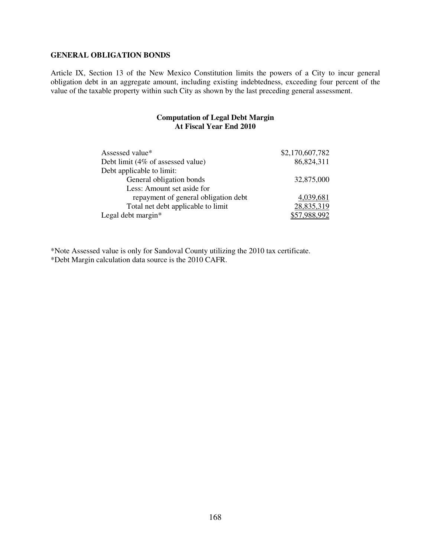### **GENERAL OBLIGATION BONDS**

Article IX, Section 13 of the New Mexico Constitution limits the powers of a City to incur general obligation debt in an aggregate amount, including existing indebtedness, exceeding four percent of the value of the taxable property within such City as shown by the last preceding general assessment.

#### **Computation of Legal Debt Margin At Fiscal Year End 2010**

| Assessed value*                      | \$2,170,607,782 |
|--------------------------------------|-----------------|
| Debt limit (4% of assessed value)    | 86,824,311      |
| Debt applicable to limit:            |                 |
| General obligation bonds             | 32,875,000      |
| Less: Amount set aside for           |                 |
| repayment of general obligation debt | 4,039,681       |
| Total net debt applicable to limit   | 28,835,319      |
| Legal debt margin $*$                |                 |

\*Note Assessed value is only for Sandoval County utilizing the 2010 tax certificate. \*Debt Margin calculation data source is the 2010 CAFR.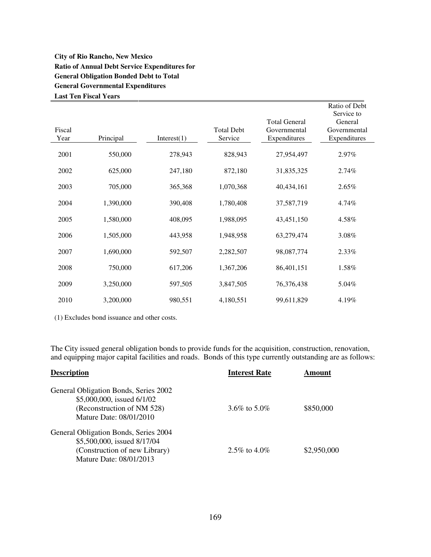## **City of Rio Rancho, New Mexico Ratio of Annual Debt Service Expenditures for General Obligation Bonded Debt to Total General Governmental Expenditures Last Ten Fiscal Years**

| Fiscal<br>Year | Principal | Interest(1) | <b>Total Debt</b><br>Service | <b>Total General</b><br>Governmental<br>Expenditures | Ratio of Debt<br>Service to<br>General<br>Governmental<br>Expenditures |
|----------------|-----------|-------------|------------------------------|------------------------------------------------------|------------------------------------------------------------------------|
| 2001           | 550,000   | 278,943     | 828,943                      | 27,954,497                                           | 2.97%                                                                  |
| 2002           | 625,000   | 247,180     | 872,180                      | 31,835,325                                           | 2.74%                                                                  |
| 2003           | 705,000   | 365,368     | 1,070,368                    | 40,434,161                                           | 2.65%                                                                  |
| 2004           | 1,390,000 | 390,408     | 1,780,408                    | 37,587,719                                           | 4.74%                                                                  |
| 2005           | 1,580,000 | 408,095     | 1,988,095                    | 43,451,150                                           | 4.58%                                                                  |
| 2006           | 1,505,000 | 443,958     | 1,948,958                    | 63,279,474                                           | 3.08%                                                                  |
| 2007           | 1,690,000 | 592,507     | 2,282,507                    | 98,087,774                                           | 2.33%                                                                  |
| 2008           | 750,000   | 617,206     | 1,367,206                    | 86,401,151                                           | 1.58%                                                                  |
| 2009           | 3,250,000 | 597,505     | 3,847,505                    | 76,376,438                                           | 5.04%                                                                  |
| 2010           | 3,200,000 | 980,551     | 4,180,551                    | 99,611,829                                           | 4.19%                                                                  |

(1) Excludes bond issuance and other costs.

The City issued general obligation bonds to provide funds for the acquisition, construction, renovation, and equipping major capital facilities and roads. Bonds of this type currently outstanding are as follows:

| <b>Description</b>                                       | <b>Interest Rate</b> | \ mount     |
|----------------------------------------------------------|----------------------|-------------|
| General Obligation Bonds, Series 2002                    |                      |             |
| \$5,000,000, issued 6/1/02<br>(Reconstruction of NM 528) | 3.6\% to 5.0\%       | \$850,000   |
| Mature Date: 08/01/2010                                  |                      |             |
| General Obligation Bonds, Series 2004                    |                      |             |
| \$5,500,000, issued 8/17/04                              |                      |             |
| (Construction of new Library)                            | 2.5\% to 4.0\%       | \$2,950,000 |
| Mature Date: 08/01/2013                                  |                      |             |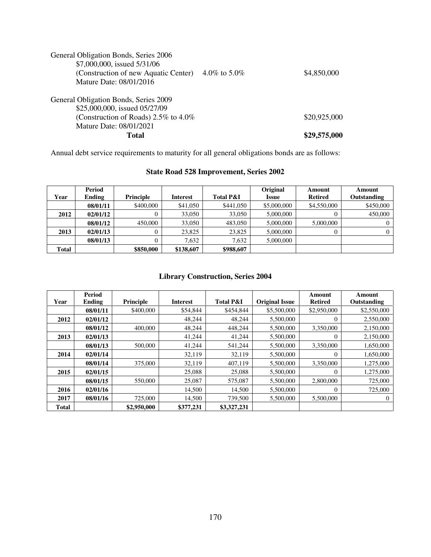| General Obligation Bonds, Series 2006<br>\$7,000,000, issued 5/31/06<br>(Construction of new Aquatic Center)<br>Mature Date: 08/01/2016         | 4.0\% to 5.0\% | \$4,850,000  |
|-------------------------------------------------------------------------------------------------------------------------------------------------|----------------|--------------|
| General Obligation Bonds, Series 2009<br>\$25,000,000, issued 05/27/09<br>(Construction of Roads) $2.5\%$ to $4.0\%$<br>Mature Date: 08/01/2021 |                | \$20,925,000 |
| Total                                                                                                                                           |                | \$29,575,000 |

Annual debt service requirements to maturity for all general obligations bonds are as follows:

# **State Road 528 Improvement, Series 2002**

|       | Period   |                  |                 |                      | Original     | Amount         | Amount      |
|-------|----------|------------------|-----------------|----------------------|--------------|----------------|-------------|
| Year  | Ending   | <b>Principle</b> | <b>Interest</b> | <b>Total P&amp;I</b> | <b>Issue</b> | <b>Retired</b> | Outstanding |
|       | 08/01/11 | \$400,000        | \$41,050        | \$441,050            | \$5,000,000  | \$4,550,000    | \$450,000   |
| 2012  | 02/01/12 |                  | 33,050          | 33,050               | 5,000,000    | $\theta$       | 450,000     |
|       | 08/01/12 | 450,000          | 33,050          | 483,050              | 5,000,000    | 5,000,000      |             |
| 2013  | 02/01/13 |                  | 23,825          | 23,825               | 5,000,000    | $\Omega$       |             |
|       | 08/01/13 |                  | 7.632           | 7.632                | 5,000,000    |                |             |
| Total |          | \$850,000        | \$138,607       | \$988,607            |              |                |             |

# **Library Construction, Series 2004**

|              | Period   |             |                 |                      |                       | Amount         | Amount         |
|--------------|----------|-------------|-----------------|----------------------|-----------------------|----------------|----------------|
| Year         | Ending   | Principle   | <b>Interest</b> | <b>Total P&amp;I</b> | <b>Original Issue</b> | <b>Retired</b> | Outstanding    |
|              | 08/01/11 | \$400,000   | \$54,844        | \$454,844            | \$5,500,000           | \$2,950,000    | \$2,550,000    |
| 2012         | 02/01/12 |             | 48.244          | 48.244               | 5,500,000             | $\Omega$       | 2,550,000      |
|              | 08/01/12 | 400,000     | 48,244          | 448,244              | 5,500,000             | 3,350,000      | 2,150,000      |
| 2013         | 02/01/13 |             | 41,244          | 41,244               | 5,500,000             | $\Omega$       | 2,150,000      |
|              | 08/01/13 | 500,000     | 41,244          | 541,244              | 5,500,000             | 3.350,000      | 1,650,000      |
| 2014         | 02/01/14 |             | 32,119          | 32,119               | 5,500,000             | $\Omega$       | 1,650,000      |
|              | 08/01/14 | 375,000     | 32,119          | 407.119              | 5,500,000             | 3.350,000      | 1,275,000      |
| 2015         | 02/01/15 |             | 25,088          | 25,088               | 5,500,000             | $\Omega$       | 1,275,000      |
|              | 08/01/15 | 550,000     | 25,087          | 575,087              | 5,500,000             | 2,800,000      | 725,000        |
| 2016         | 02/01/16 |             | 14,500          | 14,500               | 5,500,000             | $\Omega$       | 725,000        |
| 2017         | 08/01/16 | 725,000     | 14,500          | 739,500              | 5.500,000             | 5,500,000      | $\overline{0}$ |
| <b>Total</b> |          | \$2,950,000 | \$377.231       | \$3,327,231          |                       |                |                |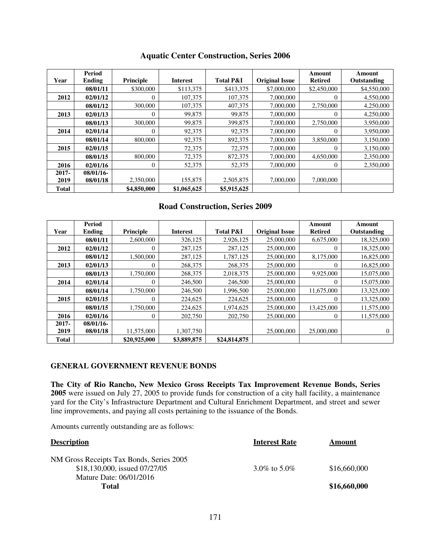|              | Period       |             |                 |                      |                       | Amount         | Amount      |
|--------------|--------------|-------------|-----------------|----------------------|-----------------------|----------------|-------------|
| Year         | Ending       | Principle   | <b>Interest</b> | <b>Total P&amp;I</b> | <b>Original Issue</b> | <b>Retired</b> | Outstanding |
|              | 08/01/11     | \$300,000   | \$113,375       | \$413,375            | \$7,000,000           | \$2,450,000    | \$4,550,000 |
| 2012         | 02/01/12     | $\theta$    | 107,375         | 107,375              | 7,000,000             | $\Omega$       | 4,550,000   |
|              | 08/01/12     | 300,000     | 107,375         | 407,375              | 7,000,000             | 2,750,000      | 4,250,000   |
| 2013         | 02/01/13     | $\Omega$    | 99,875          | 99,875               | 7,000,000             | $\Omega$       | 4,250,000   |
|              | 08/01/13     | 300,000     | 99,875          | 399,875              | 7,000,000             | 2,750,000      | 3,950,000   |
| 2014         | 02/01/14     | $\Omega$    | 92,375          | 92,375               | 7,000,000             | $\Omega$       | 3,950,000   |
|              | 08/01/14     | 800,000     | 92,375          | 892,375              | 7,000,000             | 3,850,000      | 3,150,000   |
| 2015         | 02/01/15     |             | 72,375          | 72,375               | 7,000,000             | $\Omega$       | 3,150,000   |
|              | 08/01/15     | 800,000     | 72,375          | 872,375              | 7,000,000             | 4,650,000      | 2,350,000   |
| 2016         | 02/01/16     | $\theta$    | 52,375          | 52,375               | 7,000,000             | $\mathbf{0}$   | 2,350,000   |
| $2017 -$     | $08/01/16$ - |             |                 |                      |                       |                |             |
| 2019         | 08/01/18     | 2,350,000   | 155,875         | 2,505,875            | 7,000,000             | 7,000,000      |             |
| <b>Total</b> |              | \$4,850,000 | \$1,065,625     | \$5,915,625          |                       |                |             |

## **Aquatic Center Construction, Series 2006**

## **Road Construction, Series 2009**

|              | <b>Period</b> |              |                 |                      |                       | Amount         | Amount      |
|--------------|---------------|--------------|-----------------|----------------------|-----------------------|----------------|-------------|
| Year         | Ending        | Principle    | <b>Interest</b> | <b>Total P&amp;I</b> | <b>Original Issue</b> | <b>Retired</b> | Outstanding |
|              | 08/01/11      | 2,600,000    | 326,125         | 2,926,125            | 25,000,000            | 6,675,000      | 18,325,000  |
| 2012         | 02/01/12      |              | 287,125         | 287,125              | 25,000,000            | $\overline{0}$ | 18,325,000  |
|              | 08/01/12      | 1,500,000    | 287,125         | 1,787,125            | 25,000,000            | 8,175,000      | 16,825,000  |
| 2013         | 02/01/13      |              | 268,375         | 268,375              | 25,000,000            | $\Omega$       | 16,825,000  |
|              | 08/01/13      | 1.750.000    | 268,375         | 2,018,375            | 25,000,000            | 9,925,000      | 15,075,000  |
| 2014         | 02/01/14      | 0            | 246,500         | 246,500              | 25,000,000            | $\Omega$       | 15,075,000  |
|              | 08/01/14      | 1,750,000    | 246,500         | 1,996,500            | 25,000,000            | 11,675,000     | 13,325,000  |
| 2015         | 02/01/15      | $\Omega$     | 224,625         | 224,625              | 25,000,000            | $\Omega$       | 13,325,000  |
|              | 08/01/15      | 1,750,000    | 224,625         | 1,974,625            | 25,000,000            | 13,425,000     | 11,575,000  |
| 2016         | 02/01/16      | $\Omega$     | 202,750         | 202,750              | 25,000,000            | $\Omega$       | 11,575,000  |
| $2017 -$     | $08/01/16$ -  |              |                 |                      |                       |                |             |
| 2019         | 08/01/18      | 11,575,000   | 1,307,750       |                      | 25,000,000            | 25,000,000     | 0           |
| <b>Total</b> |               | \$20,925,000 | \$3,889,875     | \$24,814,875         |                       |                |             |

#### **GENERAL GOVERNMENT REVENUE BONDS**

**The City of Rio Rancho, New Mexico Gross Receipts Tax Improvement Revenue Bonds, Series 2005** were issued on July 27, 2005 to provide funds for construction of a city hall facility, a maintenance yard for the City's Infrastructure Department and Cultural Enrichment Department, and street and sewer line improvements, and paying all costs pertaining to the issuance of the Bonds.

Amounts currently outstanding are as follows:

| Amount       |
|--------------|
|              |
| \$16,660,000 |
|              |
| \$16,660,000 |
|              |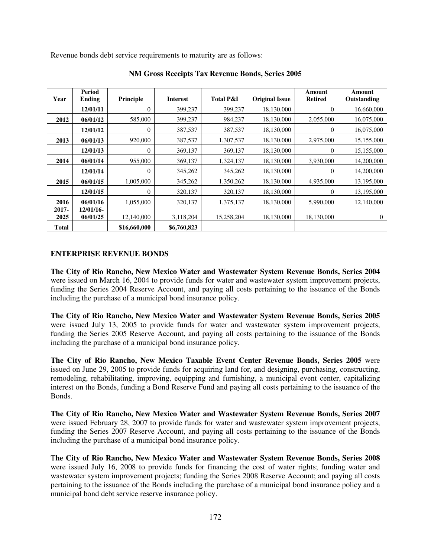Revenue bonds debt service requirements to maturity are as follows:

| Year          | <b>Period</b><br><b>Ending</b> | Principle        | <b>Interest</b> | <b>Total P&amp;I</b> | <b>Original Issue</b> | Amount<br><b>Retired</b> | Amount<br>Outstanding |
|---------------|--------------------------------|------------------|-----------------|----------------------|-----------------------|--------------------------|-----------------------|
|               | 12/01/11                       | $\theta$         | 399,237         | 399,237              | 18,130,000            | $\overline{0}$           | 16,660,000            |
| 2012          | 06/01/12                       | 585,000          | 399,237         | 984,237              | 18,130,000            | 2,055,000                | 16,075,000            |
|               | 12/01/12                       | $\theta$         | 387,537         | 387,537              | 18,130,000            | $\overline{0}$           | 16,075,000            |
| 2013          | 06/01/13                       | 920,000          | 387,537         | 1,307,537            | 18,130,000            | 2,975,000                | 15,155,000            |
|               | 12/01/13                       | $\boldsymbol{0}$ | 369,137         | 369,137              | 18,130,000            | 0                        | 15,155,000            |
| 2014          | 06/01/14                       | 955,000          | 369,137         | 1,324,137            | 18,130,000            | 3,930,000                | 14,200,000            |
|               | 12/01/14                       | $\boldsymbol{0}$ | 345,262         | 345,262              | 18,130,000            | $\overline{0}$           | 14,200,000            |
| 2015          | 06/01/15                       | 1,005,000        | 345,262         | 1,350,262            | 18,130,000            | 4,935,000                | 13,195,000            |
|               | 12/01/15                       | $\theta$         | 320,137         | 320,137              | 18,130,000            | $\overline{0}$           | 13,195,000            |
| 2016          | 06/01/16                       | 1,055,000        | 320,137         | 1,375,137            | 18,130,000            | 5,990,000                | 12,140,000            |
| 2017-<br>2025 | 12/01/16-<br>06/01/25          | 12,140,000       | 3,118,204       | 15,258,204           | 18,130,000            | 18,130,000               | $\mathbf{0}$          |
| <b>Total</b>  |                                | \$16,660,000     | \$6,760,823     |                      |                       |                          |                       |

**NM Gross Receipts Tax Revenue Bonds, Series 2005** 

### **ENTERPRISE REVENUE BONDS**

**The City of Rio Rancho, New Mexico Water and Wastewater System Revenue Bonds, Series 2004** were issued on March 16, 2004 to provide funds for water and wastewater system improvement projects, funding the Series 2004 Reserve Account, and paying all costs pertaining to the issuance of the Bonds including the purchase of a municipal bond insurance policy.

**The City of Rio Rancho, New Mexico Water and Wastewater System Revenue Bonds, Series 2005**  were issued July 13, 2005 to provide funds for water and wastewater system improvement projects, funding the Series 2005 Reserve Account, and paying all costs pertaining to the issuance of the Bonds including the purchase of a municipal bond insurance policy.

**The City of Rio Rancho, New Mexico Taxable Event Center Revenue Bonds, Series 2005** were issued on June 29, 2005 to provide funds for acquiring land for, and designing, purchasing, constructing, remodeling, rehabilitating, improving, equipping and furnishing, a municipal event center, capitalizing interest on the Bonds, funding a Bond Reserve Fund and paying all costs pertaining to the issuance of the Bonds.

**The City of Rio Rancho, New Mexico Water and Wastewater System Revenue Bonds, Series 2007**  were issued February 28, 2007 to provide funds for water and wastewater system improvement projects, funding the Series 2007 Reserve Account, and paying all costs pertaining to the issuance of the Bonds including the purchase of a municipal bond insurance policy.

T**he City of Rio Rancho, New Mexico Water and Wastewater System Revenue Bonds, Series 2008**  were issued July 16, 2008 to provide funds for financing the cost of water rights; funding water and wastewater system improvement projects; funding the Series 2008 Reserve Account; and paying all costs pertaining to the issuance of the Bonds including the purchase of a municipal bond insurance policy and a municipal bond debt service reserve insurance policy.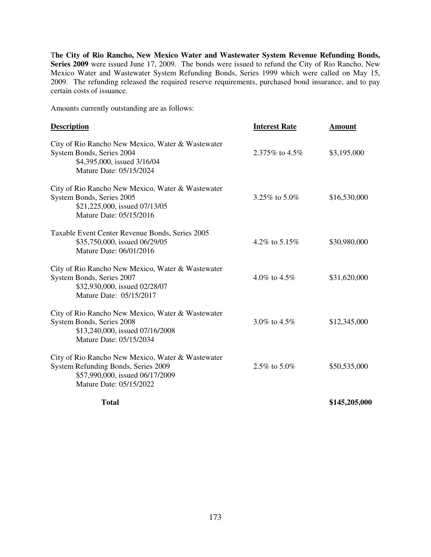T**he City of Rio Rancho, New Mexico Water and Wastewater System Revenue Refunding Bonds, Series 2009** were issued June 17, 2009. The bonds were issued to refund the City of Rio Rancho, New Mexico Water and Wastewater System Refunding Bonds, Series 1999 which were called on May 15, 2009. The refunding released the required reserve requirements, purchased bond insurance, and to pay certain costs of issuance.

Amounts currently outstanding are as follows:

| <b>Description</b>                                                                                                                                     | <b>Interest Rate</b> | <b>Amount</b> |
|--------------------------------------------------------------------------------------------------------------------------------------------------------|----------------------|---------------|
| City of Rio Rancho New Mexico, Water & Wastewater<br>System Bonds, Series 2004<br>\$4,395,000, issued 3/16/04<br>Mature Date: 05/15/2024               | 2.375% to 4.5%       | \$3,195,000   |
| City of Rio Rancho New Mexico, Water & Wastewater<br>System Bonds, Series 2005<br>\$21,225,000, issued 07/13/05<br>Mature Date: 05/15/2016             | 3.25% to 5.0%        | \$16,530,000  |
| Taxable Event Center Revenue Bonds, Series 2005<br>\$35,750,000, issued 06/29/05<br>Mature Date: 06/01/2016                                            | 4.2\% to 5.15\%      | \$30,980,000  |
| City of Rio Rancho New Mexico, Water & Wastewater<br>System Bonds, Series 2007<br>\$32,930,000, issued 02/28/07<br>Mature Date: 05/15/2017             | 4.0\% to 4.5\%       | \$31,620,000  |
| City of Rio Rancho New Mexico, Water & Wastewater<br>System Bonds, Series 2008<br>\$13,240,000, issued 07/16/2008<br>Mature Date: 05/15/2034           | 3.0\% to 4.5\%       | \$12,345,000  |
| City of Rio Rancho New Mexico, Water & Wastewater<br>System Refunding Bonds, Series 2009<br>\$57,990,000, issued 06/17/2009<br>Mature Date: 05/15/2022 | 2.5% to 5.0%         | \$50,535,000  |
| <b>Total</b>                                                                                                                                           |                      | \$145,205,000 |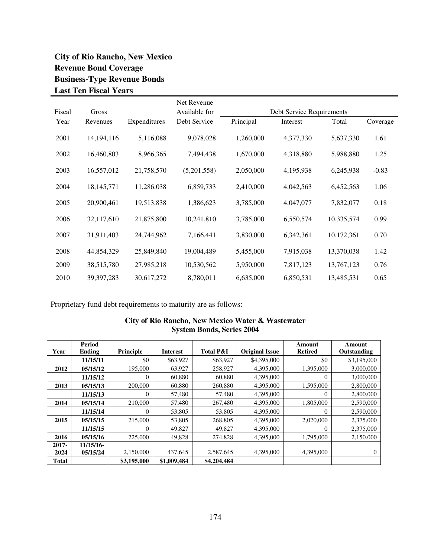# **City of Rio Rancho, New Mexico Revenue Bond Coverage Business-Type Revenue Bonds Last Ten Fiscal Years**

|        |              |              | Net Revenue   |           |                           |            |          |
|--------|--------------|--------------|---------------|-----------|---------------------------|------------|----------|
| Fiscal | Gross        |              | Available for |           | Debt Service Requirements |            |          |
| Year   | Revenues     | Expenditures | Debt Service  | Principal | Interest                  | Total      | Coverage |
| 2001   | 14, 194, 116 | 5,116,088    | 9,078,028     | 1,260,000 | 4,377,330                 | 5,637,330  | 1.61     |
| 2002   | 16,460,803   | 8,966,365    | 7,494,438     | 1,670,000 | 4,318,880                 | 5,988,880  | 1.25     |
| 2003   | 16,557,012   | 21,758,570   | (5,201,558)   | 2,050,000 | 4,195,938                 | 6,245,938  | $-0.83$  |
| 2004   | 18, 145, 771 | 11,286,038   | 6,859,733     | 2,410,000 | 4,042,563                 | 6,452,563  | 1.06     |
| 2005   | 20,900,461   | 19,513,838   | 1,386,623     | 3,785,000 | 4,047,077                 | 7,832,077  | 0.18     |
| 2006   | 32,117,610   | 21,875,800   | 10,241,810    | 3,785,000 | 6,550,574                 | 10,335,574 | 0.99     |
| 2007   | 31,911,403   | 24,744,962   | 7,166,441     | 3,830,000 | 6,342,361                 | 10,172,361 | 0.70     |
| 2008   | 44,854,329   | 25,849,840   | 19,004,489    | 5,455,000 | 7,915,038                 | 13,370,038 | 1.42     |
| 2009   | 38,515,780   | 27,985,218   | 10,530,562    | 5,950,000 | 7,817,123                 | 13,767,123 | 0.76     |
| 2010   | 39, 397, 283 | 30,617,272   | 8,780,011     | 6,635,000 | 6,850,531                 | 13,485,531 | 0.65     |

Proprietary fund debt requirements to maturity are as follows:

|              | $D1$ $S1$ $R2$ $R3$ $R4$ $R5$ $R6$ $R7$ $R8$ |                  |                 |                      |                       |                          |                       |  |
|--------------|----------------------------------------------|------------------|-----------------|----------------------|-----------------------|--------------------------|-----------------------|--|
| Year         | Period<br>Ending                             | <b>Principle</b> | <b>Interest</b> | <b>Total P&amp;I</b> | <b>Original Issue</b> | Amount<br><b>Retired</b> | Amount<br>Outstanding |  |
|              | 11/15/11                                     | \$0              | \$63,927        | \$63,927             | \$4,395,000           | \$0                      | \$3,195,000           |  |
| 2012         | 05/15/12                                     | 195,000          | 63,927          | 258,927              | 4,395,000             | 1,395,000                | 3,000,000             |  |
|              | 11/15/12                                     | $\theta$         | 60,880          | 60,880               | 4,395,000             | 0                        | 3,000,000             |  |
| 2013         | 05/15/13                                     | 200,000          | 60,880          | 260,880              | 4,395,000             | 1,595,000                | 2,800,000             |  |
|              | 11/15/13                                     | 0                | 57,480          | 57,480               | 4,395,000             | 0                        | 2,800,000             |  |
| 2014         | 05/15/14                                     | 210,000          | 57,480          | 267,480              | 4,395,000             | 1,805,000                | 2,590,000             |  |
|              | 11/15/14                                     | 0                | 53,805          | 53,805               | 4,395,000             | 0                        | 2,590,000             |  |
| 2015         | 05/15/15                                     | 215,000          | 53,805          | 268,805              | 4,395,000             | 2,020,000                | 2,375,000             |  |
|              | 11/15/15                                     | $\Omega$         | 49,827          | 49,827               | 4,395,000             | $\Omega$                 | 2,375,000             |  |
| 2016         | 05/15/16                                     | 225,000          | 49,828          | 274,828              | 4,395,000             | 1,795,000                | 2,150,000             |  |
| $2017 -$     | 11/15/16                                     |                  |                 |                      |                       |                          |                       |  |
| 2024         | 05/15/24                                     | 2,150,000        | 437.645         | 2,587,645            | 4,395,000             | 4,395,000                | 0                     |  |
| <b>Total</b> |                                              | \$3,195,000      | \$1,009,484     | \$4,204,484          |                       |                          |                       |  |

## **City of Rio Rancho, New Mexico Water & Wastewater System Bonds, Series 2004**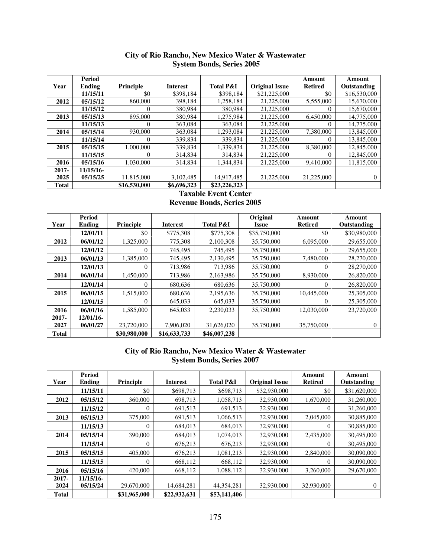|              | Period    |              |                 |                      |                       | Amount         | Amount       |
|--------------|-----------|--------------|-----------------|----------------------|-----------------------|----------------|--------------|
| Year         | Ending    | Principle    | <b>Interest</b> | <b>Total P&amp;I</b> | <b>Original Issue</b> | <b>Retired</b> | Outstanding  |
|              | 11/15/11  | \$0          | \$398,184       | \$398,184            | \$21,225,000          | \$0            | \$16,530,000 |
| 2012         | 05/15/12  | 860,000      | 398,184         | 1.258.184            | 21,225,000            | 5,555,000      | 15,670,000   |
|              | 11/15/12  |              | 380,984         | 380,984              | 21,225,000            | 0              | 15,670,000   |
| 2013         | 05/15/13  | 895,000      | 380.984         | 1.275.984            | 21,225,000            | 6.450,000      | 14,775,000   |
|              | 11/15/13  | O            | 363,084         | 363,084              | 21,225,000            | 0              | 14,775,000   |
| 2014         | 05/15/14  | 930,000      | 363,084         | 1,293,084            | 21,225,000            | 7,380,000      | 13,845,000   |
|              | 11/15/14  |              | 339,834         | 339,834              | 21,225,000            | 0              | 13,845,000   |
| 2015         | 05/15/15  | 1,000,000    | 339,834         | 1,339,834            | 21,225,000            | 8.380,000      | 12,845,000   |
|              | 11/15/15  |              | 314,834         | 314,834              | 21,225,000            | 0              | 12,845,000   |
| 2016         | 05/15/16  | 1.030.000    | 314.834         | 1.344.834            | 21,225,000            | 9.410.000      | 11,815,000   |
| $2017 -$     | 11/15/16- |              |                 |                      |                       |                |              |
| 2025         | 05/15/25  | 11,815,000   | 3,102,485       | 14,917,485           | 21,225,000            | 21,225,000     | $\Omega$     |
| <b>Total</b> |           | \$16,530,000 | \$6,696,323     | \$23,226,323         |                       |                |              |

## **City of Rio Rancho, New Mexico Water & Wastewater System Bonds, Series 2005**

## **Taxable Event Center Revenue Bonds, Series 2005**

| Year  | Period       | <b>Principle</b> | <b>Interest</b> | <b>Total P&amp;I</b> | Original     | Amount<br><b>Retired</b> | Amount       |
|-------|--------------|------------------|-----------------|----------------------|--------------|--------------------------|--------------|
|       | Ending       |                  |                 |                      | Issue        |                          | Outstanding  |
|       | 12/01/11     | \$0              | \$775,308       | \$775,308            | \$35,750,000 | \$0                      | \$30,980,000 |
| 2012  | 06/01/12     | 1,325,000        | 775,308         | 2,100,308            | 35,750,000   | 6.095.000                | 29,655,000   |
|       | 12/01/12     | 0                | 745,495         | 745,495              | 35,750,000   | $\theta$                 | 29,655,000   |
| 2013  | 06/01/13     | 1,385,000        | 745.495         | 2,130,495            | 35,750,000   | 7.480,000                | 28,270,000   |
|       | 12/01/13     | 0                | 713,986         | 713,986              | 35,750,000   | $\theta$                 | 28,270,000   |
| 2014  | 06/01/14     | 1,450,000        | 713,986         | 2,163,986            | 35,750,000   | 8,930,000                | 26,820,000   |
|       | 12/01/14     | 0                | 680,636         | 680,636              | 35,750,000   | $\Omega$                 | 26,820,000   |
| 2015  | 06/01/15     | 1,515,000        | 680,636         | 2,195,636            | 35,750,000   | 10,445,000               | 25,305,000   |
|       | 12/01/15     | 0                | 645,033         | 645,033              | 35,750,000   | $\Omega$                 | 25,305,000   |
| 2016  | 06/01/16     | 1,585,000        | 645,033         | 2,230,033            | 35,750,000   | 12,030,000               | 23,720,000   |
| 2017- | $12/01/16$ - |                  |                 |                      |              |                          |              |
| 2027  | 06/01/27     | 23,720,000       | 7,906,020       | 31,626,020           | 35,750,000   | 35,750,000               | 0            |
| Total |              | \$30,980,000     | \$16,633,733    | \$46,007,238         |              |                          |              |

## **City of Rio Rancho, New Mexico Water & Wastewater System Bonds, Series 2007**

|          | <b>Period</b> |                |                 |                      |                       | Amount     | Amount       |
|----------|---------------|----------------|-----------------|----------------------|-----------------------|------------|--------------|
| Year     | <b>Ending</b> | Principle      | <b>Interest</b> | <b>Total P&amp;I</b> | <b>Original Issue</b> | Retired    | Outstanding  |
|          | 11/15/11      | \$0            | \$698,713       | \$698,713            | \$32,930,000          | \$0        | \$31,620,000 |
| 2012     | 05/15/12      | 360,000        | 698,713         | 1,058,713            | 32,930,000            | 1,670,000  | 31,260,000   |
|          | 11/15/12      | $\overline{0}$ | 691,513         | 691,513              | 32,930,000            | 0          | 31,260,000   |
| 2013     | 05/15/13      | 375,000        | 691,513         | 1,066,513            | 32,930,000            | 2,045,000  | 30,885,000   |
|          | 11/15/13      | $\overline{0}$ | 684,013         | 684,013              | 32,930,000            | 0          | 30,885,000   |
| 2014     | 05/15/14      | 390,000        | 684,013         | 1,074,013            | 32,930,000            | 2,435,000  | 30,495,000   |
|          | 11/15/14      | 0              | 676,213         | 676,213              | 32,930,000            | 0          | 30.495,000   |
| 2015     | 05/15/15      | 405,000        | 676,213         | 1,081,213            | 32,930,000            | 2,840,000  | 30,090,000   |
|          | 11/15/15      | 0              | 668,112         | 668,112              | 32,930,000            | 0          | 30,090,000   |
| 2016     | 05/15/16      | 420,000        | 668,112         | 1,088,112            | 32,930,000            | 3,260,000  | 29,670,000   |
| $2017 -$ | 11/15/16-     |                |                 |                      |                       |            |              |
| 2024     | 05/15/24      | 29,670,000     | 14,684,281      | 44, 354, 281         | 32,930,000            | 32,930,000 | 0            |
| Total    |               | \$31,965,000   | \$22,932,631    | \$53,141,406         |                       |            |              |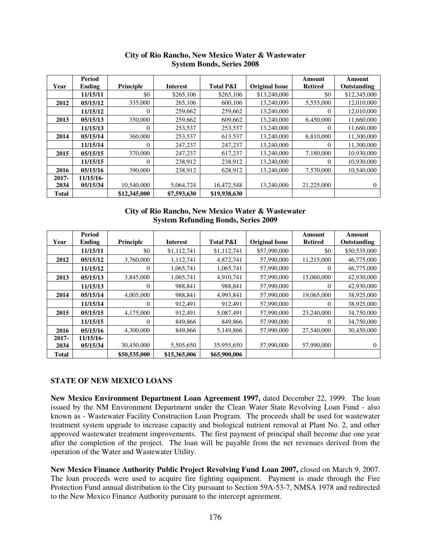| Year         | <b>Period</b><br>Ending | Principle    | <b>Interest</b> | <b>Total P&amp;I</b> | <b>Original Issue</b> | Amount<br><b>Retired</b> | Amount<br>Outstanding |
|--------------|-------------------------|--------------|-----------------|----------------------|-----------------------|--------------------------|-----------------------|
|              | 11/15/11                | \$0          | \$265,106       | \$265,106            | \$13,240,000          | \$0                      | \$12,345,000          |
| 2012         | 05/15/12                | 335,000      | 265,106         | 600,106              | 13,240,000            | 5,555,000                | 12,010,000            |
|              | 11/15/12                | $\Omega$     | 259,662         | 259,662              | 13,240,000            | 0                        | 12,010,000            |
| 2013         | 05/15/13                | 350,000      | 259,662         | 609,662              | 13,240,000            | 6,450,000                | 11,660,000            |
|              | 11/15/13                | $\theta$     | 253,537         | 253,537              | 13,240,000            | 0                        | 11,660,000            |
| 2014         | 05/15/14                | 360,000      | 253,537         | 613,537              | 13,240,000            | 6,810,000                | 11,300,000            |
|              | 11/15/14                | 0            | 247,237         | 247,237              | 13,240,000            | 0                        | 11,300,000            |
| 2015         | 05/15/15                | 370,000      | 247,237         | 617,237              | 13.240,000            | 7.180,000                | 10,930,000            |
|              | 11/15/15                | $\Omega$     | 238,912         | 238,912              | 13,240,000            | 0                        | 10,930,000            |
| 2016         | 05/15/16                | 390,000      | 238.912         | 628,912              | 13.240,000            | 7,570,000                | 10,540,000            |
| $2017 -$     | 11/15/16-               |              |                 |                      |                       |                          |                       |
| 2034         | 05/15/34                | 10.540,000   | 5,064,724       | 16,472,548           | 13.240,000            | 21,225,000               | 0                     |
| <b>Total</b> |                         | \$12,345,000 | \$7,593,630     | \$19,938,630         |                       |                          |                       |

### **City of Rio Rancho, New Mexico Water & Wastewater System Bonds, Series 2008**

### **City of Rio Rancho, New Mexico Water & Wastewater System Refunding Bonds, Series 2009**

|              | Period       |                  |                 |                      |                       | Amount         | Amount       |
|--------------|--------------|------------------|-----------------|----------------------|-----------------------|----------------|--------------|
| Year         | Ending       | Principle        | <b>Interest</b> | <b>Total P&amp;I</b> | <b>Original Issue</b> | <b>Retired</b> | Outstanding  |
|              | 11/15/11     | \$0              | \$1,112,741     | \$1,112,741          | \$57,990,000          | \$0            | \$50,535,000 |
| 2012         | 05/15/12     | 3,760,000        | 1,112,741       | 4,872,741            | 57,990,000            | 11,215,000     | 46,775,000   |
|              | 11/15/12     | $\Omega$         | 1,065,741       | 1,065,741            | 57,990,000            | 0              | 46,775,000   |
| 2013         | 05/15/13     | 3,845,000        | 1,065,741       | 4,910,741            | 57,990,000            | 15,060,000     | 42,930,000   |
|              | 11/15/13     | $\Omega$         | 988,841         | 988,841              | 57,990,000            | 0              | 42,930,000   |
| 2014         | 05/15/14     | 4,005,000        | 988,841         | 4.993.841            | 57,990,000            | 19,065,000     | 38,925,000   |
|              | 11/15/14     | 0                | 912,491         | 912,491              | 57,990,000            | 0              | 38,925,000   |
| 2015         | 05/15/15     | 4,175,000        | 912,491         | 5,087,491            | 57,990,000            | 23,240,000     | 34,750,000   |
|              | 11/15/15     | $\boldsymbol{0}$ | 849,866         | 849,866              | 57,990,000            | 0              | 34,750,000   |
| 2016         | 05/15/16     | 4,300,000        | 849,866         | 5,149,866            | 57,990,000            | 27,540,000     | 30,450,000   |
| $2017 -$     | $11/15/16$ - |                  |                 |                      |                       |                |              |
| 2034         | 05/15/34     | 30,450,000       | 5,505,650       | 35,955,650           | 57,990,000            | 57,990,000     | 0            |
| <b>Total</b> |              | \$50,535,000     | \$15,365,006    | \$65,900,006         |                       |                |              |

## **STATE OF NEW MEXICO LOANS**

**New Mexico Environment Department Loan Agreement 1997,** dated December 22, 1999. The loan issued by the NM Environment Department under the Clean Water State Revolving Loan Fund - also known as - Wastewater Facility Construction Loan Program. The proceeds shall be used for wastewater treatment system upgrade to increase capacity and biological nutrient removal at Plant No. 2, and other approved wastewater treatment improvements. The first payment of principal shall become due one year after the completion of the project. The loan will be payable from the net revenues derived from the operation of the Water and Wastewater Utility.

**New Mexico Finance Authority Public Project Revolving Fund Loan 2007,** closed on March 9, 2007. The loan proceeds were used to acquire fire fighting equipment. Payment is made through the Fire Protection Fund annual distribution to the City pursuant to Section 59A-53-7, NMSA 1978 and redirected to the New Mexico Finance Authority pursuant to the intercept agreement.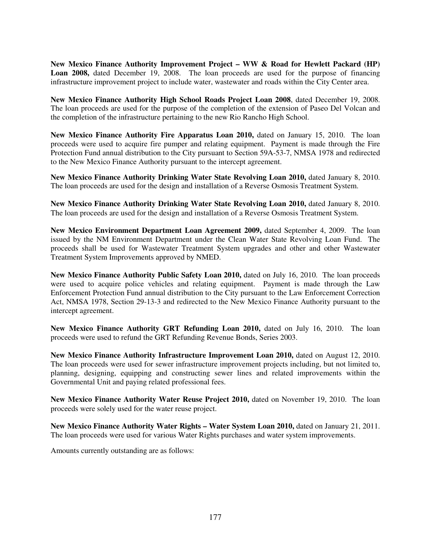**New Mexico Finance Authority Improvement Project – WW & Road for Hewlett Packard (HP)**  Loan 2008, dated December 19, 2008. The loan proceeds are used for the purpose of financing infrastructure improvement project to include water, wastewater and roads within the City Center area.

**New Mexico Finance Authority High School Roads Project Loan 2008**, dated December 19, 2008. The loan proceeds are used for the purpose of the completion of the extension of Paseo Del Volcan and the completion of the infrastructure pertaining to the new Rio Rancho High School.

New Mexico Finance Authority Fire Apparatus Loan 2010, dated on January 15, 2010. The loan proceeds were used to acquire fire pumper and relating equipment. Payment is made through the Fire Protection Fund annual distribution to the City pursuant to Section 59A-53-7, NMSA 1978 and redirected to the New Mexico Finance Authority pursuant to the intercept agreement.

**New Mexico Finance Authority Drinking Water State Revolving Loan 2010,** dated January 8, 2010. The loan proceeds are used for the design and installation of a Reverse Osmosis Treatment System.

**New Mexico Finance Authority Drinking Water State Revolving Loan 2010,** dated January 8, 2010. The loan proceeds are used for the design and installation of a Reverse Osmosis Treatment System.

**New Mexico Environment Department Loan Agreement 2009,** dated September 4, 2009. The loan issued by the NM Environment Department under the Clean Water State Revolving Loan Fund. The proceeds shall be used for Wastewater Treatment System upgrades and other and other Wastewater Treatment System Improvements approved by NMED.

**New Mexico Finance Authority Public Safety Loan 2010,** dated on July 16, 2010. The loan proceeds were used to acquire police vehicles and relating equipment. Payment is made through the Law Enforcement Protection Fund annual distribution to the City pursuant to the Law Enforcement Correction Act, NMSA 1978, Section 29-13-3 and redirected to the New Mexico Finance Authority pursuant to the intercept agreement.

**New Mexico Finance Authority GRT Refunding Loan 2010,** dated on July 16, 2010. The loan proceeds were used to refund the GRT Refunding Revenue Bonds, Series 2003.

**New Mexico Finance Authority Infrastructure Improvement Loan 2010,** dated on August 12, 2010. The loan proceeds were used for sewer infrastructure improvement projects including, but not limited to, planning, designing, equipping and constructing sewer lines and related improvements within the Governmental Unit and paying related professional fees.

**New Mexico Finance Authority Water Reuse Project 2010,** dated on November 19, 2010. The loan proceeds were solely used for the water reuse project.

**New Mexico Finance Authority Water Rights – Water System Loan 2010,** dated on January 21, 2011. The loan proceeds were used for various Water Rights purchases and water system improvements.

Amounts currently outstanding are as follows: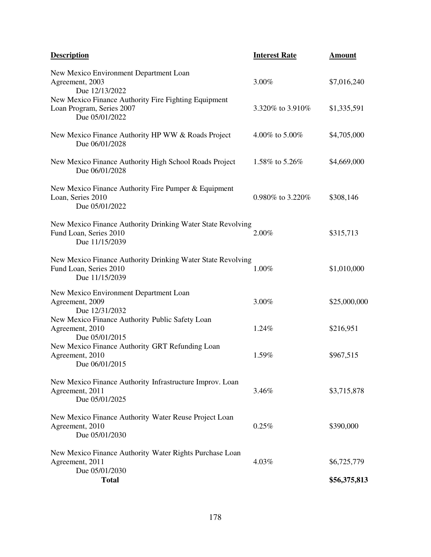| <b>Description</b>                                                                                      | <b>Interest Rate</b> | <b>Amount</b> |
|---------------------------------------------------------------------------------------------------------|----------------------|---------------|
| New Mexico Environment Department Loan<br>Agreement, 2003<br>Due 12/13/2022                             | 3.00%                | \$7,016,240   |
| New Mexico Finance Authority Fire Fighting Equipment<br>Loan Program, Series 2007<br>Due 05/01/2022     | 3.320% to 3.910%     | \$1,335,591   |
| New Mexico Finance Authority HP WW & Roads Project<br>Due 06/01/2028                                    | 4.00% to 5.00%       | \$4,705,000   |
| New Mexico Finance Authority High School Roads Project<br>Due 06/01/2028                                | 1.58% to 5.26%       | \$4,669,000   |
| New Mexico Finance Authority Fire Pumper & Equipment<br>Loan, Series 2010<br>Due 05/01/2022             | 0.980% to 3.220%     | \$308,146     |
| New Mexico Finance Authority Drinking Water State Revolving<br>Fund Loan, Series 2010<br>Due 11/15/2039 | 2.00%                | \$315,713     |
| New Mexico Finance Authority Drinking Water State Revolving<br>Fund Loan, Series 2010<br>Due 11/15/2039 | 1.00%                | \$1,010,000   |
| New Mexico Environment Department Loan<br>Agreement, 2009<br>Due 12/31/2032                             | 3.00%                | \$25,000,000  |
| New Mexico Finance Authority Public Safety Loan<br>Agreement, 2010<br>Due 05/01/2015                    | 1.24%                | \$216,951     |
| New Mexico Finance Authority GRT Refunding Loan<br>Agreement, 2010<br>Due 06/01/2015                    | 1.59%                | \$967,515     |
| New Mexico Finance Authority Infrastructure Improv. Loan<br>Agreement, 2011<br>Due 05/01/2025           | 3.46%                | \$3,715,878   |
| New Mexico Finance Authority Water Reuse Project Loan<br>Agreement, 2010<br>Due 05/01/2030              | 0.25%                | \$390,000     |
| New Mexico Finance Authority Water Rights Purchase Loan<br>Agreement, 2011<br>Due 05/01/2030            | 4.03%                | \$6,725,779   |
| <b>Total</b>                                                                                            |                      | \$56,375,813  |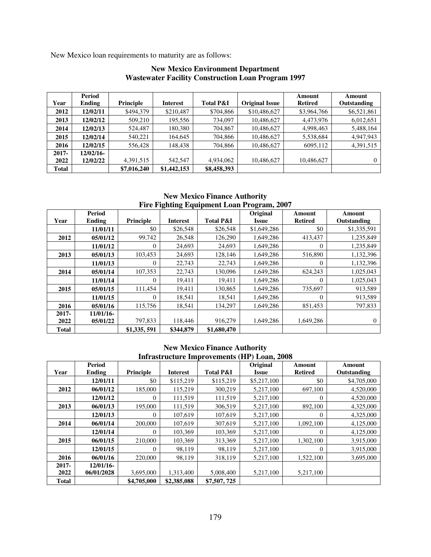New Mexico loan requirements to maturity are as follows:

|              | Period    |             |                 |                      |                       | Amount         | Amount      |
|--------------|-----------|-------------|-----------------|----------------------|-----------------------|----------------|-------------|
| Year         | Ending    | Principle   | <b>Interest</b> | <b>Total P&amp;I</b> | <b>Original Issue</b> | <b>Retired</b> | Outstanding |
| 2012         | 12/02/11  | \$494,379   | \$210,487       | \$704,866            | \$10,486,627          | \$3,964,766    | \$6,521,861 |
| 2013         | 12/02/12  | 509,210     | 195,556         | 734,097              | 10,486,627            | 4,473,976      | 6,012,651   |
| 2014         | 12/02/13  | 524.487     | 180,380         | 704,867              | 10,486,627            | 4,998,463      | 5,488,164   |
| 2015         | 12/02/14  | 540.221     | 164,645         | 704,866              | 10,486,627            | 5,538,684      | 4,947,943   |
| 2016         | 12/02/15  | 556,428     | 148,438         | 704,866              | 10,486,627            | 6095,112       | 4,391,515   |
| $2017 -$     | 12/02/16- |             |                 |                      |                       |                |             |
| 2022         | 12/02/22  | 4,391,515   | 542,547         | 4,934,062            | 10,486,627            | 10,486,627     | $\Omega$    |
| <b>Total</b> |           | \$7,016,240 | \$1,442,153     | \$8,458,393          |                       |                |             |

## **New Mexico Environment Department Wastewater Facility Construction Loan Program 1997**

**New Mexico Finance Authority Fire Fighting Equipment Loan Program, 2007** 

|              | <b>Period</b> |             |                 |                      | Original     | Amount         | Amount         |
|--------------|---------------|-------------|-----------------|----------------------|--------------|----------------|----------------|
| Year         | Ending        | Principle   | <b>Interest</b> | <b>Total P&amp;I</b> | <b>Issue</b> | <b>Retired</b> | Outstanding    |
|              | 11/01/11      | \$0         | \$26,548        | \$26,548             | \$1,649,286  | \$0            | \$1,335,591    |
| 2012         | 05/01/12      | 99,742      | 26,548          | 126,290              | 1,649,286    | 413,437        | 1,235,849      |
|              | 11/01/12      | 0           | 24,693          | 24,693               | 1,649,286    | $\theta$       | 1,235,849      |
| 2013         | 05/01/13      | 103,453     | 24,693          | 128,146              | 1,649,286    | 516,890        | 1,132,396      |
|              | 11/01/13      | 0           | 22,743          | 22,743               | 1,649,286    | $\theta$       | 1,132,396      |
| 2014         | 05/01/14      | 107,353     | 22,743          | 130.096              | 1,649,286    | 624,243        | 1,025,043      |
|              | 11/01/14      | 0           | 19,411          | 19,411               | 1,649,286    | $\theta$       | 1,025,043      |
| 2015         | 05/01/15      | 111,454     | 19,411          | 130,865              | 1,649,286    | 735,697        | 913,589        |
|              | 11/01/15      | 0           | 18,541          | 18,541               | 1,649,286    | $\theta$       | 913,589        |
| 2016         | 05/01/16      | 115,756     | 18,541          | 134,297              | 1,649,286    | 851,453        | 797,833        |
| $2017 -$     | 11/01/16-     |             |                 |                      |              |                |                |
| 2022         | 05/01/22      | 797,833     | 118,446         | 916,279              | 1,649,286    | 1,649,286      | $\overline{0}$ |
| <b>Total</b> |               | \$1,335,591 | \$344,879       | \$1,680,470          |              |                |                |

#### **New Mexico Finance Authority Infrastructure Improvements (HP) Loan, 2008**

|              | <b>Period</b> |                |                 |                      | Original    | Amount         | Amount      |
|--------------|---------------|----------------|-----------------|----------------------|-------------|----------------|-------------|
| Year         | Ending        | Principle      | <b>Interest</b> | <b>Total P&amp;I</b> | Issue       | <b>Retired</b> | Outstanding |
|              | 12/01/11      | \$0            | \$115,219       | \$115,219            | \$5,217,100 | \$0            | \$4,705,000 |
| 2012         | 06/01/12      | 185,000        | 115,219         | 300,219              | 5,217,100   | 697,100        | 4,520,000   |
|              | 12/01/12      | $\overline{0}$ | 111.519         | 111.519              | 5,217,100   | $\Omega$       | 4,520,000   |
| 2013         | 06/01/13      | 195,000        | 111.519         | 306.519              | 5,217,100   | 892,100        | 4,325,000   |
|              | 12/01/13      | 0              | 107.619         | 107,619              | 5,217,100   | 0              | 4,325,000   |
| 2014         | 06/01/14      | 200,000        | 107,619         | 307,619              | 5,217,100   | 1,092,100      | 4,125,000   |
|              | 12/01/14      | $\overline{0}$ | 103,369         | 103,369              | 5,217,100   | 0              | 4,125,000   |
| 2015         | 06/01/15      | 210,000        | 103,369         | 313,369              | 5,217,100   | 1,302,100      | 3,915,000   |
|              | 12/01/15      | 0              | 98,119          | 98,119               | 5,217,100   | $\Omega$       | 3,915,000   |
| 2016         | 06/01/16      | 220,000        | 98,119          | 318,119              | 5.217.100   | 1,522,100      | 3,695,000   |
| $2017 -$     | $12/01/16$ -  |                |                 |                      |             |                |             |
| 2022         | 06/01/2028    | 3,695,000      | 1,313,400       | 5,008,400            | 5,217,100   | 5,217,100      |             |
| <b>Total</b> |               | \$4,705,000    | \$2,385,088     | \$7,507,725          |             |                |             |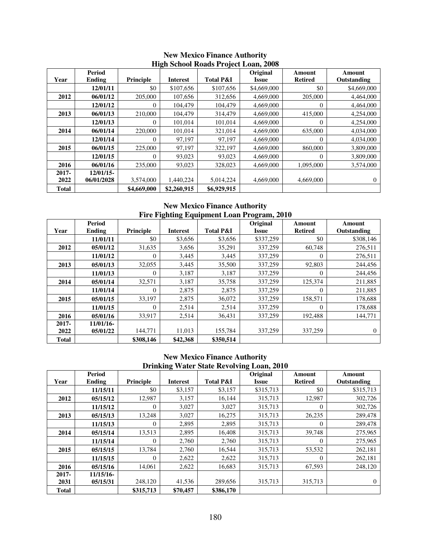|              | <b>Period</b> |                  |                 | $\frac{1}{2}$ $\frac{1}{2}$ $\frac{1}{2}$ $\frac{1}{2}$ $\frac{1}{2}$ $\frac{1}{2}$ $\frac{1}{2}$ $\frac{1}{2}$ $\frac{1}{2}$ $\frac{1}{2}$ $\frac{1}{2}$ $\frac{1}{2}$ $\frac{1}{2}$ $\frac{1}{2}$ $\frac{1}{2}$ $\frac{1}{2}$ $\frac{1}{2}$ $\frac{1}{2}$ $\frac{1}{2}$ $\frac{1}{2}$ $\frac{1}{2}$ $\frac{1}{2}$ | Original    | Amount         | Amount      |
|--------------|---------------|------------------|-----------------|---------------------------------------------------------------------------------------------------------------------------------------------------------------------------------------------------------------------------------------------------------------------------------------------------------------------|-------------|----------------|-------------|
| Year         | Ending        | <b>Principle</b> | <b>Interest</b> | <b>Total P&amp;I</b>                                                                                                                                                                                                                                                                                                | Issue       | <b>Retired</b> | Outstanding |
|              | 12/01/11      | \$0              | \$107,656       | \$107,656                                                                                                                                                                                                                                                                                                           | \$4,669,000 | \$0            | \$4,669,000 |
| 2012         | 06/01/12      | 205,000          | 107.656         | 312,656                                                                                                                                                                                                                                                                                                             | 4,669,000   | 205,000        | 4,464,000   |
|              | 12/01/12      | 0                | 104,479         | 104,479                                                                                                                                                                                                                                                                                                             | 4,669,000   |                | 4,464,000   |
| 2013         | 06/01/13      | 210,000          | 104,479         | 314,479                                                                                                                                                                                                                                                                                                             | 4,669,000   | 415,000        | 4,254,000   |
|              | 12/01/13      | 0                | 101.014         | 101,014                                                                                                                                                                                                                                                                                                             | 4,669,000   | 0              | 4,254,000   |
| 2014         | 06/01/14      | 220,000          | 101,014         | 321,014                                                                                                                                                                                                                                                                                                             | 4,669,000   | 635,000        | 4,034,000   |
|              | 12/01/14      | 0                | 97,197          | 97,197                                                                                                                                                                                                                                                                                                              | 4,669,000   | $\Omega$       | 4,034,000   |
| 2015         | 06/01/15      | 225,000          | 97,197          | 322,197                                                                                                                                                                                                                                                                                                             | 4,669,000   | 860,000        | 3,809,000   |
|              | 12/01/15      | 0                | 93,023          | 93,023                                                                                                                                                                                                                                                                                                              | 4,669,000   | $\theta$       | 3,809,000   |
| 2016         | 06/01/16      | 235,000          | 93,023          | 328,023                                                                                                                                                                                                                                                                                                             | 4,669,000   | 1,095,000      | 3,574,000   |
| $2017 -$     | $12/01/15$ -  |                  |                 |                                                                                                                                                                                                                                                                                                                     |             |                |             |
| 2022         | 06/01/2028    | 3,574,000        | 1,440,224       | 5,014,224                                                                                                                                                                                                                                                                                                           | 4,669,000   | 4,669,000      | $\Omega$    |
| <b>Total</b> |               | \$4,669,000      | \$2,260,915     | \$6,929,915                                                                                                                                                                                                                                                                                                         |             |                |             |

#### **New Mexico Finance Authority High School Roads Project Loan, 2008**

**New Mexico Finance Authority Fire Fighting Equipment Loan Program, 2010** 

|              | Period    |                |                 |                      | Original     | Amount           | Amount       |
|--------------|-----------|----------------|-----------------|----------------------|--------------|------------------|--------------|
| Year         | Ending    | Principle      | <b>Interest</b> | <b>Total P&amp;I</b> | <b>Issue</b> | <b>Retired</b>   | Outstanding  |
|              | 11/01/11  | \$0            | \$3,656         | \$3,656              | \$337,259    | \$0              | \$308,146    |
| 2012         | 05/01/12  | 31,635         | 3,656           | 35,291               | 337,259      | 60,748           | 276,511      |
|              | 11/01/12  | $\Omega$       | 3,445           | 3,445                | 337,259      | $\theta$         | 276,511      |
| 2013         | 05/01/13  | 32,055         | 3,445           | 35,500               | 337,259      | 92,803           | 244,456      |
|              | 11/01/13  | $\overline{0}$ | 3,187           | 3,187                | 337,259      | $\Omega$         | 244,456      |
| 2014         | 05/01/14  | 32,571         | 3,187           | 35,758               | 337,259      | 125,374          | 211,885      |
|              | 11/01/14  | $\theta$       | 2,875           | 2,875                | 337,259      | $\Omega$         | 211,885      |
| 2015         | 05/01/15  | 33,197         | 2,875           | 36,072               | 337,259      | 158,571          | 178,688      |
|              | 11/01/15  | $\theta$       | 2,514           | 2,514                | 337,259      | $\boldsymbol{0}$ | 178,688      |
| 2016         | 05/01/16  | 33,917         | 2,514           | 36,431               | 337,259      | 192,488          | 144,771      |
| $2017 -$     | 11/01/16- |                |                 |                      |              |                  |              |
| 2022         | 05/01/22  | 144,771        | 11,013          | 155,784              | 337,259      | 337,259          | $\mathbf{0}$ |
| <b>Total</b> |           | \$308,146      | \$42,368        | \$350,514            |              |                  |              |

### **New Mexico Finance Authority Drinking Water State Revolving Loan, 2010**

|              | <b>Period</b> |                  |                 |                      | Original  | Amount         | Amount         |
|--------------|---------------|------------------|-----------------|----------------------|-----------|----------------|----------------|
| Year         | Ending        | <b>Principle</b> | <b>Interest</b> | <b>Total P&amp;I</b> | Issue     | <b>Retired</b> | Outstanding    |
|              | 11/15/11      | \$0              | \$3,157         | \$3,157              | \$315,713 | \$0            | \$315,713      |
| 2012         | 05/15/12      | 12.987           | 3,157           | 16.144               | 315,713   | 12,987         | 302,726        |
|              | 11/15/12      | $\theta$         | 3,027           | 3,027                | 315,713   | 0              | 302,726        |
| 2013         | 05/15/13      | 13.248           | 3,027           | 16.275               | 315,713   | 26,235         | 289,478        |
|              | 11/15/13      | 0                | 2,895           | 2,895                | 315,713   | 0              | 289,478        |
| 2014         | 05/15/14      | 13,513           | 2,895           | 16.408               | 315,713   | 39,748         | 275,965        |
|              | 11/15/14      | $\Omega$         | 2,760           | 2,760                | 315,713   | 0              | 275,965        |
| 2015         | 05/15/15      | 13,784           | 2,760           | 16,544               | 315,713   | 53,532         | 262,181        |
|              | 11/15/15      | $\overline{0}$   | 2,622           | 2,622                | 315,713   | $\theta$       | 262,181        |
| 2016         | 05/15/16      | 14.061           | 2,622           | 16,683               | 315,713   | 67,593         | 248,120        |
| $2017 -$     | 11/15/16-     |                  |                 |                      |           |                |                |
| 2031         | 05/15/31      | 248,120          | 41,536          | 289,656              | 315,713   | 315,713        | $\overline{0}$ |
| <b>Total</b> |               | \$315,713        | \$70,457        | \$386,170            |           |                |                |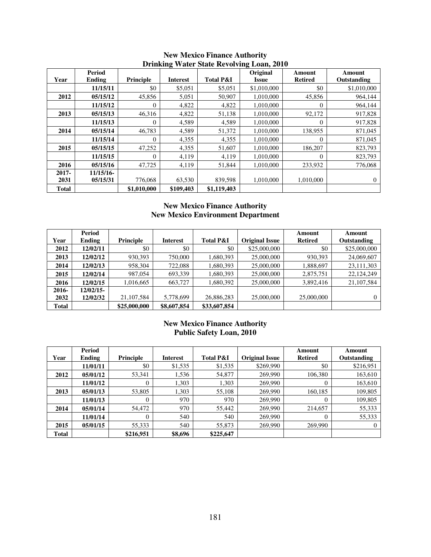|              | <b>Period</b> |                |                 |                      | $\frac{1}{2}$<br>Original | Amount         | Amount       |
|--------------|---------------|----------------|-----------------|----------------------|---------------------------|----------------|--------------|
| Year         | Ending        | Principle      | <b>Interest</b> | <b>Total P&amp;I</b> | Issue                     | <b>Retired</b> | Outstanding  |
|              | 11/15/11      | \$0            | \$5,051         | \$5,051              | \$1,010,000               | \$0            | \$1,010,000  |
| 2012         | 05/15/12      | 45,856         | 5,051           | 50,907               | 1,010,000                 | 45,856         | 964,144      |
|              | 11/15/12      | $\overline{0}$ | 4,822           | 4,822                | 1,010,000                 | 0              | 964,144      |
| 2013         | 05/15/13      | 46,316         | 4,822           | 51,138               | 1,010,000                 | 92,172         | 917,828      |
|              | 11/15/13      | $\overline{0}$ | 4,589           | 4,589                | 1,010,000                 | $\Omega$       | 917,828      |
| 2014         | 05/15/14      | 46,783         | 4,589           | 51,372               | 1,010,000                 | 138,955        | 871,045      |
|              | 11/15/14      | $\mathbf{0}$   | 4,355           | 4,355                | 1,010,000                 | 0              | 871,045      |
| 2015         | 05/15/15      | 47,252         | 4,355           | 51,607               | 1,010,000                 | 186,207        | 823,793      |
|              | 11/15/15      | $\theta$       | 4,119           | 4,119                | 1,010,000                 | 0              | 823,793      |
| 2016         | 05/15/16      | 47,725         | 4,119           | 51,844               | 1.010.000                 | 233,932        | 776,068      |
| $2017 -$     | 11/15/16-     |                |                 |                      |                           |                |              |
| 2031         | 05/15/31      | 776,068        | 63,530          | 839,598              | 1.010.000                 | 1,010,000      | $\mathbf{0}$ |
| <b>Total</b> |               | \$1,010,000    | \$109,403       | \$1,119,403          |                           |                |              |

#### **New Mexico Finance Authority Drinking Water State Revolving Loan, 2010**

## **New Mexico Finance Authority New Mexico Environment Department**

|       | Period    |              |             |                      |                       | Amount         | Amount       |
|-------|-----------|--------------|-------------|----------------------|-----------------------|----------------|--------------|
| Year  | Ending    | Principle    | Interest    | <b>Total P&amp;I</b> | <b>Original Issue</b> | <b>Retired</b> | Outstanding  |
| 2012  | 12/02/11  | \$0          | \$0         | \$0                  | \$25,000,000          | \$0            | \$25,000,000 |
| 2013  | 12/02/12  | 930.393      | 750,000     | 1,680,393            | 25,000,000            | 930,393        | 24,069,607   |
| 2014  | 12/02/13  | 958,304      | 722,088     | 1,680,393            | 25,000,000            | 1,888,697      | 23,111,303   |
| 2015  | 12/02/14  | 987,054      | 693,339     | 1,680,393            | 25,000,000            | 2,875,751      | 22,124,249   |
| 2016  | 12/02/15  | 1,016,665    | 663,727     | 1,680,392            | 25,000,000            | 3,892,416      | 21,107,584   |
| 2016- | 12/02/15- |              |             |                      |                       |                |              |
| 2032  | 12/02/32  | 21,107,584   | 5,778,699   | 26,886,283           | 25,000,000            | 25,000,000     | 0            |
| Total |           | \$25,000,000 | \$8,607,854 | \$33,607,854         |                       |                |              |

## **New Mexico Finance Authority Public Safety Loan, 2010**

|              | <b>Period</b> |           |                 |                      |                       | Amount         | Amount      |
|--------------|---------------|-----------|-----------------|----------------------|-----------------------|----------------|-------------|
| Year         | Ending        | Principle | <b>Interest</b> | <b>Total P&amp;I</b> | <b>Original Issue</b> | <b>Retired</b> | Outstanding |
|              | 11/01/11      | \$0       | \$1,535         | \$1,535              | \$269,990             | \$0            | \$216,951   |
| 2012         | 05/01/12      | 53,341    | 1,536           | 54,877               | 269,990               | 106,380        | 163,610     |
|              | 11/01/12      | $\theta$  | 1.303           | 1,303                | 269,990               | $\Omega$       | 163,610     |
| 2013         | 05/01/13      | 53,805    | 1,303           | 55,108               | 269,990               | 160,185        | 109,805     |
|              | 11/01/13      | $\Omega$  | 970             | 970                  | 269,990               | $\Omega$       | 109,805     |
| 2014         | 05/01/14      | 54,472    | 970             | 55,442               | 269,990               | 214,657        | 55,333      |
|              | 11/01/14      | $\theta$  | 540             | 540                  | 269,990               | $\Omega$       | 55,333      |
| 2015         | 05/01/15      | 55,333    | 540             | 55,873               | 269,990               | 269,990        | $\theta$    |
| <b>Total</b> |               | \$216,951 | \$8,696         | \$225,647            |                       |                |             |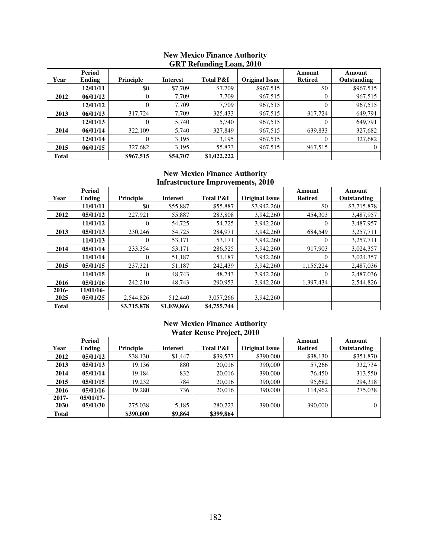|              | ONT KURIKING LOAN, LOTO |                |                 |                      |                       |                |             |  |  |  |
|--------------|-------------------------|----------------|-----------------|----------------------|-----------------------|----------------|-------------|--|--|--|
|              | Period                  |                |                 |                      |                       | Amount         | Amount      |  |  |  |
| Year         | Ending                  | Principle      | <b>Interest</b> | <b>Total P&amp;I</b> | <b>Original Issue</b> | <b>Retired</b> | Outstanding |  |  |  |
|              | 12/01/11                | \$0            | \$7,709         | \$7,709              | \$967,515             | \$0            | \$967,515   |  |  |  |
| 2012         | 06/01/12                | $\theta$       | 7.709           | 7,709                | 967,515               | $\theta$       | 967,515     |  |  |  |
|              | 12/01/12                | 0              | 7,709           | 7,709                | 967,515               |                | 967,515     |  |  |  |
| 2013         | 06/01/13                | 317,724        | 7,709           | 325,433              | 967,515               | 317,724        | 649,791     |  |  |  |
|              | 12/01/13                | $\overline{0}$ | 5,740           | 5,740                | 967,515               | $\Omega$       | 649,791     |  |  |  |
| 2014         | 06/01/14                | 322,109        | 5,740           | 327,849              | 967,515               | 639,833        | 327,682     |  |  |  |
|              | 12/01/14                | $\Omega$       | 3,195           | 3,195                | 967,515               | $\Omega$       | 327,682     |  |  |  |
| 2015         | 06/01/15                | 327,682        | 3,195           | 55,873               | 967,515               | 967,515        | 0           |  |  |  |
| <b>Total</b> |                         | \$967,515      | \$54,707        | \$1,022,222          |                       |                |             |  |  |  |

### **New Mexico Finance Authority GRT Refunding Loan, 2010**

## **New Mexico Finance Authority Infrastructure Improvements, 2010**

|              | <b>Period</b> |             |                 |                      |                       | Amount         | Amount      |
|--------------|---------------|-------------|-----------------|----------------------|-----------------------|----------------|-------------|
| Year         | Ending        | Principle   | <b>Interest</b> | <b>Total P&amp;I</b> | <b>Original Issue</b> | <b>Retired</b> | Outstanding |
|              | 11/01/11      | \$0         | \$55,887        | \$55,887             | \$3,942,260           | \$0            | \$3,715,878 |
| 2012         | 05/01/12      | 227,921     | 55,887          | 283,808              | 3,942,260             | 454.303        | 3,487,957   |
|              | 11/01/12      | $\theta$    | 54,725          | 54,725               | 3,942,260             | $\Omega$       | 3,487,957   |
| 2013         | 05/01/13      | 230,246     | 54,725          | 284,971              | 3,942,260             | 684,549        | 3,257,711   |
|              | 11/01/13      | $\Omega$    | 53,171          | 53,171               | 3,942,260             | $\Omega$       | 3,257,711   |
| 2014         | 05/01/14      | 233,354     | 53,171          | 286,525              | 3,942,260             | 917,903        | 3,024,357   |
|              | 11/01/14      | $\theta$    | 51,187          | 51,187               | 3,942,260             | $\Omega$       | 3,024,357   |
| 2015         | 05/01/15      | 237,321     | 51,187          | 242,439              | 3,942,260             | 1,155,224      | 2,487,036   |
|              | 11/01/15      | $\theta$    | 48,743          | 48,743               | 3,942,260             | $\Omega$       | 2,487,036   |
| 2016         | 05/01/16      | 242,210     | 48,743          | 290,953              | 3,942,260             | 1,397,434      | 2,544,826   |
| 2016-        | 11/01/16-     |             |                 |                      |                       |                |             |
| 2025         | 05/01/25      | 2,544,826   | 512,440         | 3,057,266            | 3,942,260             |                |             |
| <b>Total</b> |               | \$3,715,878 | \$1,039,866     | \$4,755,744          |                       |                |             |

## **New Mexico Finance Authority Water Reuse Project, 2010**

|              | Period       |           |          |                      |                       | Amount         | Amount      |
|--------------|--------------|-----------|----------|----------------------|-----------------------|----------------|-------------|
| Year         | Ending       | Principle | Interest | <b>Total P&amp;I</b> | <b>Original Issue</b> | <b>Retired</b> | Outstanding |
| 2012         | 05/01/12     | \$38,130  | \$1,447  | \$39,577             | \$390,000             | \$38,130       | \$351,870   |
| 2013         | 05/01/13     | 19,136    | 880      | 20.016               | 390,000               | 57,266         | 332,734     |
| 2014         | 05/01/14     | 19,184    | 832      | 20.016               | 390,000               | 76.450         | 313,550     |
| 2015         | 05/01/15     | 19,232    | 784      | 20,016               | 390,000               | 95,682         | 294,318     |
| 2016         | 05/01/16     | 19.280    | 736      | 20.016               | 390,000               | 114,962        | 275,038     |
| $2017 -$     | $05/01/17$ - |           |          |                      |                       |                |             |
| 2030         | 05/01/30     | 275,038   | 5,185    | 280,223              | 390,000               | 390,000        | 0           |
| <b>Total</b> |              | \$390,000 | \$9,864  | \$399,864            |                       |                |             |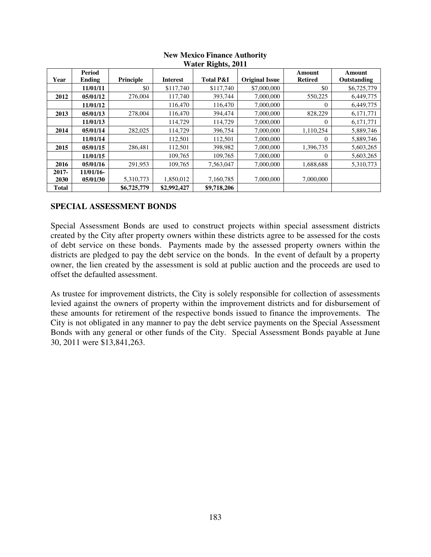|              | $v$ an Nights, 2011 |             |                 |                      |                       |                |             |  |  |  |
|--------------|---------------------|-------------|-----------------|----------------------|-----------------------|----------------|-------------|--|--|--|
|              | Period              |             |                 |                      |                       | Amount         | Amount      |  |  |  |
| Year         | Ending              | Principle   | <b>Interest</b> | <b>Total P&amp;I</b> | <b>Original Issue</b> | <b>Retired</b> | Outstanding |  |  |  |
|              | 11/01/11            | \$0         | \$117,740       | \$117,740            | \$7,000,000           | \$0            | \$6,725,779 |  |  |  |
| 2012         | 05/01/12            | 276,004     | 117,740         | 393,744              | 7,000,000             | 550,225        | 6,449,775   |  |  |  |
|              | 11/01/12            |             | 116,470         | 116,470              | 7,000,000             | $\Omega$       | 6,449,775   |  |  |  |
| 2013         | 05/01/13            | 278,004     | 116,470         | 394,474              | 7,000,000             | 828,229        | 6,171,771   |  |  |  |
|              | 11/01/13            |             | 114,729         | 114,729              | 7,000,000             | $\Omega$       | 6,171,771   |  |  |  |
| 2014         | 05/01/14            | 282,025     | 114,729         | 396,754              | 7,000,000             | 1,110,254      | 5,889,746   |  |  |  |
|              | 11/01/14            |             | 112,501         | 112,501              | 7,000,000             | $\Omega$       | 5,889,746   |  |  |  |
| 2015         | 05/01/15            | 286,481     | 112,501         | 398,982              | 7,000,000             | 1,396,735      | 5,603,265   |  |  |  |
|              | 11/01/15            |             | 109,765         | 109,765              | 7,000,000             | $\Omega$       | 5,603,265   |  |  |  |
| 2016         | 05/01/16            | 291,953     | 109,765         | 7,563,047            | 7,000,000             | 1,688,688      | 5,310,773   |  |  |  |
| $2017 -$     | $11/01/16$ -        |             |                 |                      |                       |                |             |  |  |  |
| 2030         | 05/01/30            | 5,310,773   | 1,850,012       | 7,160,785            | 7,000,000             | 7,000,000      |             |  |  |  |
| <b>Total</b> |                     | \$6,725,779 | \$2,992,427     | \$9,718,206          |                       |                |             |  |  |  |

#### **New Mexico Finance Authority Water Rights, 2011**

## **SPECIAL ASSESSMENT BONDS**

Special Assessment Bonds are used to construct projects within special assessment districts created by the City after property owners within these districts agree to be assessed for the costs of debt service on these bonds. Payments made by the assessed property owners within the districts are pledged to pay the debt service on the bonds. In the event of default by a property owner, the lien created by the assessment is sold at public auction and the proceeds are used to offset the defaulted assessment.

As trustee for improvement districts, the City is solely responsible for collection of assessments levied against the owners of property within the improvement districts and for disbursement of these amounts for retirement of the respective bonds issued to finance the improvements. The City is not obligated in any manner to pay the debt service payments on the Special Assessment Bonds with any general or other funds of the City. Special Assessment Bonds payable at June 30, 2011 were \$13,841,263.